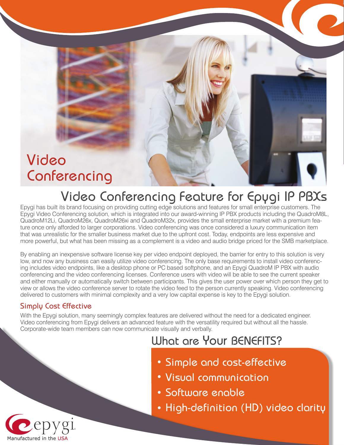# Video Conferencing

## Video Conferencing Feature for Epygi IP PBXs

Epygi has built its brand focusing on providing cutting edge solutions and features for small enterprise customers. The Epygi Video Conferencing solution, which is integrated into our award-winning IP PBX products including the QuadroM8L, QuadroM12Li, QuadroM26x, QuadroM26xi and QuadroM32x, provides the small enterprise market with a premium feature once only afforded to larger corporations. Video conferencing was once considered a luxury communication item that was unrealistic for the smaller business market due to the upfront cost. Today, endpoints are less expensive and more powerful, but what has been missing as a complement is a video and audio bridge priced for the SMB marketplace.

By enabling an inexpensive software license key per video endpoint deployed, the barrier for entry to this solution is very low, and now any business can easily utilize video conferencing. The only base requirements to install video conferencing includes video endpoints, like a desktop phone or PC based softphone, and an Epygi QuadroM IP PBX with audio conferencing and the video conferencing licenses. Conference users with video will be able to see the current speaker and either manually or automatically switch between participants. This gives the user power over which person they get to view or allows the video conference server to rotate the video feed to the person currently speaking. Video conferencing delivered to customers with minimal complexity and a very low capital expense is key to the Epygi solution.

#### Simply Cost Effective

With the Epygi solution, many seemingly complex features are delivered without the need for a dedicated engineer. Video conferencing from Epygi delivers an advanced feature with the versatility required but without all the hassle. Corporate-wide team members can now communicate visually and verbally.

### What are Your BENEFITS?

- Simple and cost-effective
- Visual communication
- Software enable
- High-definition (HD) video clarity